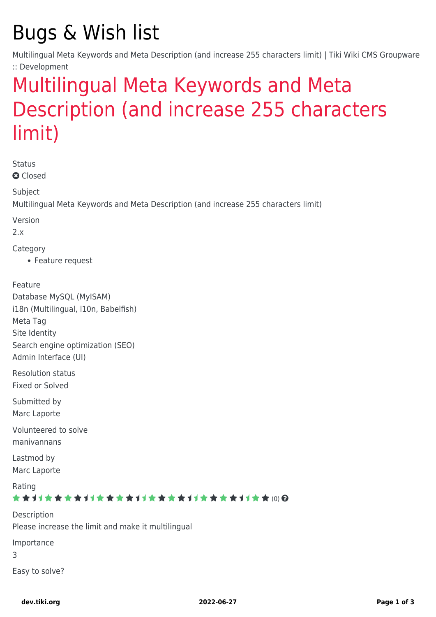# Bugs & Wish list

Multilingual Meta Keywords and Meta Description (and increase 255 characters limit) | Tiki Wiki CMS Groupware :: Development

## [Multilingual Meta Keywords and Meta](https://dev.tiki.org/item276-Multilingual-Meta-Keywords-and-Meta-Description-and-increase-255-characters-limit) [Description \(and increase 255 characters](https://dev.tiki.org/item276-Multilingual-Meta-Keywords-and-Meta-Description-and-increase-255-characters-limit) [limit\)](https://dev.tiki.org/item276-Multilingual-Meta-Keywords-and-Meta-Description-and-increase-255-characters-limit)

Status

**Q** Closed

Subject

Multilingual Meta Keywords and Meta Description (and increase 255 characters limit)

Version

2.x

Category

Feature request

Feature

Database MySQL (MyISAM) i18n (Multilingual, l10n, Babelfish) Meta Tag Site Identity Search engine optimization (SEO) Admin Interface (UI)

Resolution status Fixed or Solved

Submitted by Marc Laporte

Volunteered to solve manivannans

Lastmod by Marc Laporte

Rating

#### ★★オオ★★★★オオ★★★★オオ★★★★オオ★★★★1オ★★∞0

Description Please increase the limit and make it multilingual Importance 3

Easy to solve?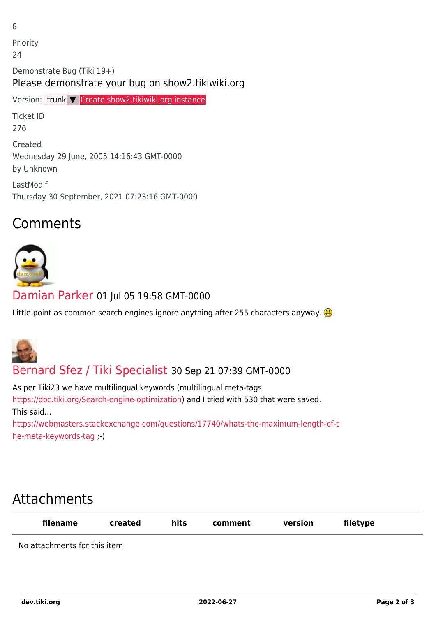Priority 24 Demonstrate Bug (Tiki 19+) Please demonstrate your bug on show2.tikiwiki.org Version: trunk ▼ [Create show2.tikiwiki.org instance](#page--1-0) Ticket ID 276 Created Wednesday 29 June, 2005 14:16:43 GMT-0000

LastModif Thursday 30 September, 2021 07:23:16 GMT-0000

### **Comments**



by Unknown

8

[Damian Parker](https://dev.tiki.org/user23) 01 Jul 05 19:58 GMT-0000

Little point as common search engines ignore anything after 255 characters anyway.



#### [Bernard Sfez / Tiki Specialist](https://dev.tiki.org/user11581) 30 Sep 21 07:39 GMT-0000

As per Tiki23 we have multilingual keywords (multilingual meta-tags <https://doc.tiki.org/Search-engine-optimization>) and I tried with 530 that were saved. This said...

[https://webmasters.stackexchange.com/questions/17740/whats-the-maximum-length-of-t](https://webmasters.stackexchange.com/questions/17740/whats-the-maximum-length-of-the-meta-keywords-tag) [he-meta-keywords-tag](https://webmasters.stackexchange.com/questions/17740/whats-the-maximum-length-of-the-meta-keywords-tag) ;-)

### Attachments

| filename                     | created | hits | comment | version | filetype |
|------------------------------|---------|------|---------|---------|----------|
| No attachments for this item |         |      |         |         |          |